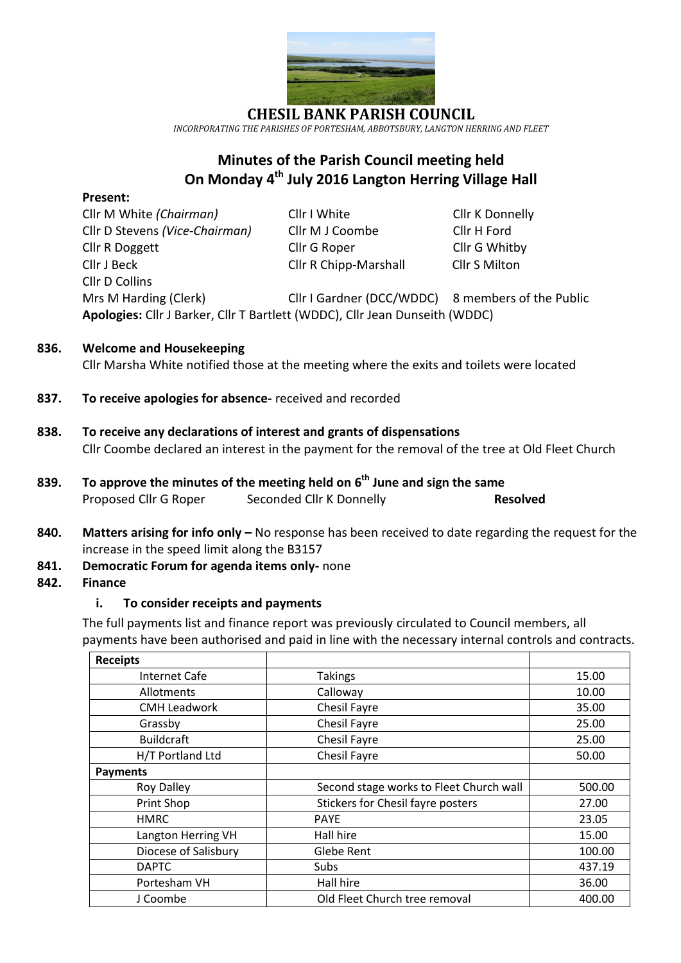

*INCORPORATING THE PARISHES OF PORTESHAM, ABBOTSBURY, LANGTON HERRING AND FLEET*

# **Minutes of the Parish Council meeting held On Monday 4 th July 2016 Langton Herring Village Hall**

#### **Present:**

Cllr M White *(Chairman)* Cllr I White Cllr K Donnelly Cllr D Stevens *(Vice-Chairman)* Cllr M J Coombe Cllr H Ford Cllr R Doggett Cllr G Roper Cllr G Whitby Cllr J Beck Cllr R Chipp-Marshall Cllr S Milton Cllr D Collins

Mrs M Harding (Clerk) Cllr I Gardner (DCC/WDDC) 8 members of the Public **Apologies:** Cllr J Barker, Cllr T Bartlett (WDDC), Cllr Jean Dunseith (WDDC)

### **836. Welcome and Housekeeping**

Cllr Marsha White notified those at the meeting where the exits and toilets were located

- **837. To receive apologies for absence-** received and recorded
- **838. To receive any declarations of interest and grants of dispensations** Cllr Coombe declared an interest in the payment for the removal of the tree at Old Fleet Church
- **839. To approve the minutes of the meeting held on 6 th June and sign the same** Proposed Cllr G Roper Seconded Cllr K Donnelly **Resolved**
- **840. Matters arising for info only –** No response has been received to date regarding the request for the increase in the speed limit along the B3157
- **841. Democratic Forum for agenda items only-** none

#### **842. Finance**

#### **i. To consider receipts and payments**

The full payments list and finance report was previously circulated to Council members, all payments have been authorised and paid in line with the necessary internal controls and contracts.

| <b>Receipts</b>      |                                         |        |
|----------------------|-----------------------------------------|--------|
| Internet Cafe        | <b>Takings</b>                          | 15.00  |
| <b>Allotments</b>    | Calloway                                | 10.00  |
| <b>CMH Leadwork</b>  | Chesil Fayre                            | 35.00  |
| Grassby              | Chesil Fayre                            | 25.00  |
| <b>Buildcraft</b>    | <b>Chesil Fayre</b>                     | 25.00  |
| H/T Portland Ltd     | <b>Chesil Fayre</b>                     | 50.00  |
| <b>Payments</b>      |                                         |        |
| <b>Roy Dalley</b>    | Second stage works to Fleet Church wall | 500.00 |
| Print Shop           | Stickers for Chesil fayre posters       | 27.00  |
| <b>HMRC</b>          | <b>PAYE</b>                             | 23.05  |
| Langton Herring VH   | Hall hire                               | 15.00  |
| Diocese of Salisbury | Glebe Rent                              | 100.00 |
| <b>DAPTC</b>         | Subs                                    | 437.19 |
| Portesham VH         | Hall hire                               | 36.00  |
| J Coombe             | Old Fleet Church tree removal           | 400.00 |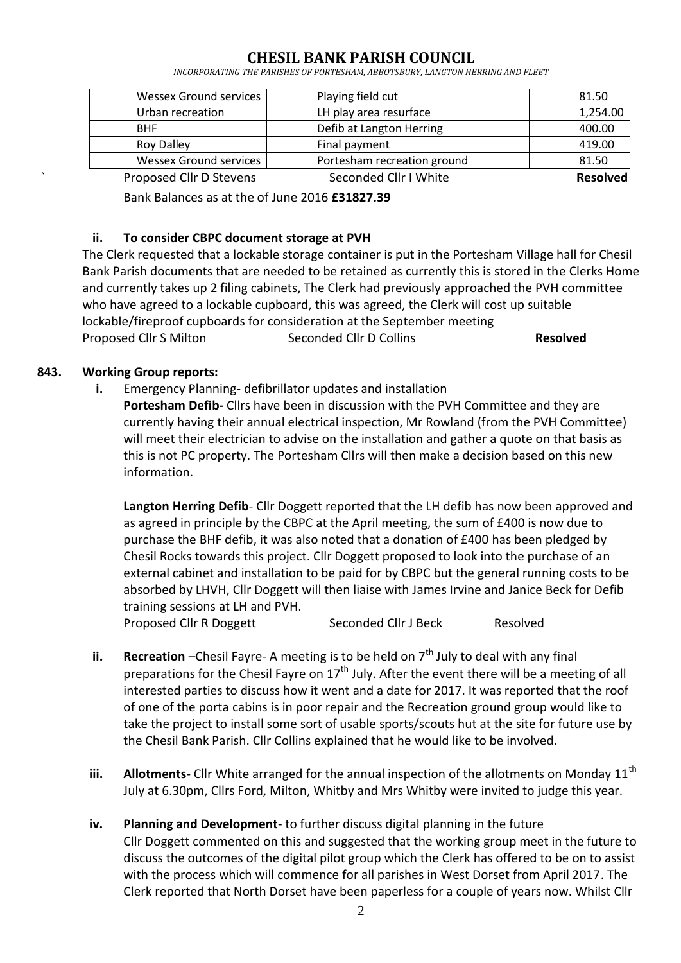*INCORPORATING THE PARISHES OF PORTESHAM, ABBOTSBURY, LANGTON HERRING AND FLEET*

| Proposed Cllr D Stevens       | Seconded Cllr I White       | <b>Resolved</b> |
|-------------------------------|-----------------------------|-----------------|
| <b>Wessex Ground services</b> | Portesham recreation ground | 81.50           |
| <b>Roy Dalley</b>             | Final payment               | 419.00          |
| <b>BHF</b>                    | Defib at Langton Herring    | 400.00          |
| Urban recreation              | LH play area resurface      | 1,254.00        |
| <b>Wessex Ground services</b> | Playing field cut           | 81.50           |

Bank Balances as at the of June 2016 **£31827.39**

### **ii. To consider CBPC document storage at PVH**

The Clerk requested that a lockable storage container is put in the Portesham Village hall for Chesil Bank Parish documents that are needed to be retained as currently this is stored in the Clerks Home and currently takes up 2 filing cabinets, The Clerk had previously approached the PVH committee who have agreed to a lockable cupboard, this was agreed, the Clerk will cost up suitable lockable/fireproof cupboards for consideration at the September meeting Proposed Cllr S Milton Seconded Cllr D Collins **Resolved**

### **843. Working Group reports:**

**i.** Emergency Planning- defibrillator updates and installation **Portesham Defib-** Cllrs have been in discussion with the PVH Committee and they are currently having their annual electrical inspection, Mr Rowland (from the PVH Committee) will meet their electrician to advise on the installation and gather a quote on that basis as this is not PC property. The Portesham Cllrs will then make a decision based on this new information.

**Langton Herring Defib**- Cllr Doggett reported that the LH defib has now been approved and as agreed in principle by the CBPC at the April meeting, the sum of £400 is now due to purchase the BHF defib, it was also noted that a donation of £400 has been pledged by Chesil Rocks towards this project. Cllr Doggett proposed to look into the purchase of an external cabinet and installation to be paid for by CBPC but the general running costs to be absorbed by LHVH, Cllr Doggett will then liaise with James Irvine and Janice Beck for Defib training sessions at LH and PVH.

Proposed Cllr R Doggett Seconded Cllr J Beck Resolved

- **ii. Recreation** –Chesil Fayre- A meeting is to be held on  $7<sup>th</sup>$  July to deal with any final preparations for the Chesil Fayre on 17<sup>th</sup> July. After the event there will be a meeting of all interested parties to discuss how it went and a date for 2017. It was reported that the roof of one of the porta cabins is in poor repair and the Recreation ground group would like to take the project to install some sort of usable sports/scouts hut at the site for future use by the Chesil Bank Parish. Cllr Collins explained that he would like to be involved.
- **iii.** Allotments- Cllr White arranged for the annual inspection of the allotments on Monday 11<sup>th</sup> July at 6.30pm, Cllrs Ford, Milton, Whitby and Mrs Whitby were invited to judge this year.
- **iv. Planning and Development** to further discuss digital planning in the future Cllr Doggett commented on this and suggested that the working group meet in the future to discuss the outcomes of the digital pilot group which the Clerk has offered to be on to assist with the process which will commence for all parishes in West Dorset from April 2017. The Clerk reported that North Dorset have been paperless for a couple of years now. Whilst Cllr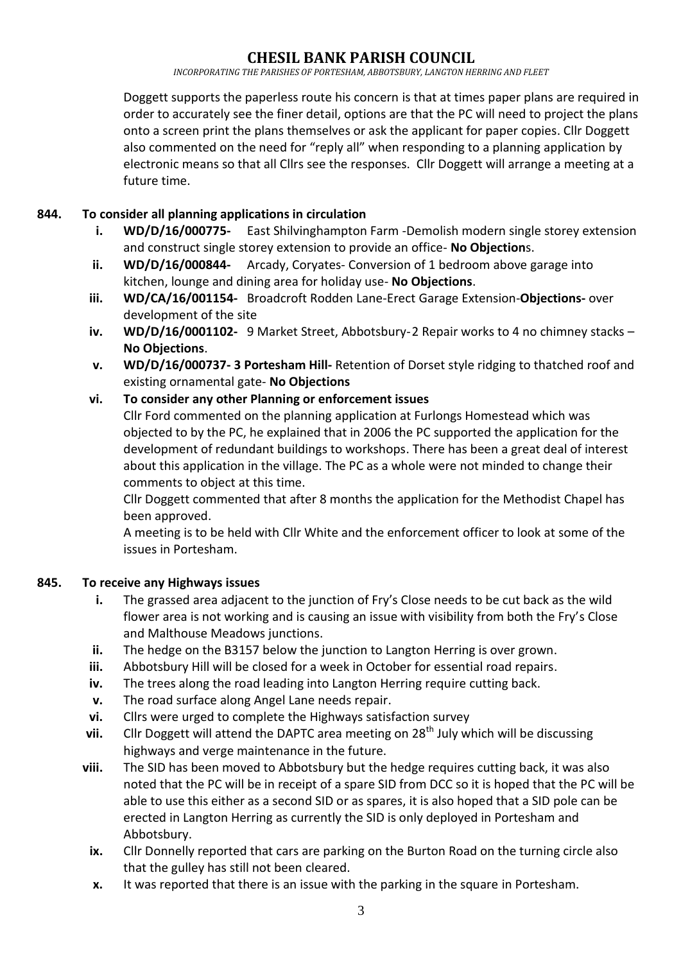*INCORPORATING THE PARISHES OF PORTESHAM, ABBOTSBURY, LANGTON HERRING AND FLEET*

Doggett supports the paperless route his concern is that at times paper plans are required in order to accurately see the finer detail, options are that the PC will need to project the plans onto a screen print the plans themselves or ask the applicant for paper copies. Cllr Doggett also commented on the need for "reply all" when responding to a planning application by electronic means so that all Cllrs see the responses. Cllr Doggett will arrange a meeting at a future time.

### **844. To consider all planning applications in circulation**

- **i. WD/D/16/000775-** East Shilvinghampton Farm -Demolish modern single storey extension and construct single storey extension to provide an office- **No Objection**s.
- **ii. WD/D/16/000844-** Arcady, Coryates- Conversion of 1 bedroom above garage into kitchen, lounge and dining area for holiday use- **No Objections**.
- **iii. WD/CA/16/001154-** Broadcroft Rodden Lane-Erect Garage Extension-**Objections-** over development of the site
- **iv. WD/D/16/0001102-** 9 Market Street, Abbotsbury-2 Repair works to 4 no chimney stacks **No Objections**.
- **v. WD/D/16/000737- 3 Portesham Hill-** Retention of Dorset style ridging to thatched roof and existing ornamental gate- **No Objections**

## **vi. To consider any other Planning or enforcement issues**

Cllr Ford commented on the planning application at Furlongs Homestead which was objected to by the PC, he explained that in 2006 the PC supported the application for the development of redundant buildings to workshops. There has been a great deal of interest about this application in the village. The PC as a whole were not minded to change their comments to object at this time.

Cllr Doggett commented that after 8 months the application for the Methodist Chapel has been approved.

A meeting is to be held with Cllr White and the enforcement officer to look at some of the issues in Portesham.

## **845. To receive any Highways issues**

- **i.** The grassed area adjacent to the junction of Fry's Close needs to be cut back as the wild flower area is not working and is causing an issue with visibility from both the Fry's Close and Malthouse Meadows junctions.
- **ii.** The hedge on the B3157 below the junction to Langton Herring is over grown.
- **iii.** Abbotsbury Hill will be closed for a week in October for essential road repairs.
- **iv.** The trees along the road leading into Langton Herring require cutting back.
- **v.** The road surface along Angel Lane needs repair.
- **vi.** Cllrs were urged to complete the Highways satisfaction survey
- **vii.** Cllr Doggett will attend the DAPTC area meeting on 28<sup>th</sup> July which will be discussing highways and verge maintenance in the future.
- **viii.** The SID has been moved to Abbotsbury but the hedge requires cutting back, it was also noted that the PC will be in receipt of a spare SID from DCC so it is hoped that the PC will be able to use this either as a second SID or as spares, it is also hoped that a SID pole can be erected in Langton Herring as currently the SID is only deployed in Portesham and Abbotsbury.
	- **ix.** Cllr Donnelly reported that cars are parking on the Burton Road on the turning circle also that the gulley has still not been cleared.
	- **x.** It was reported that there is an issue with the parking in the square in Portesham.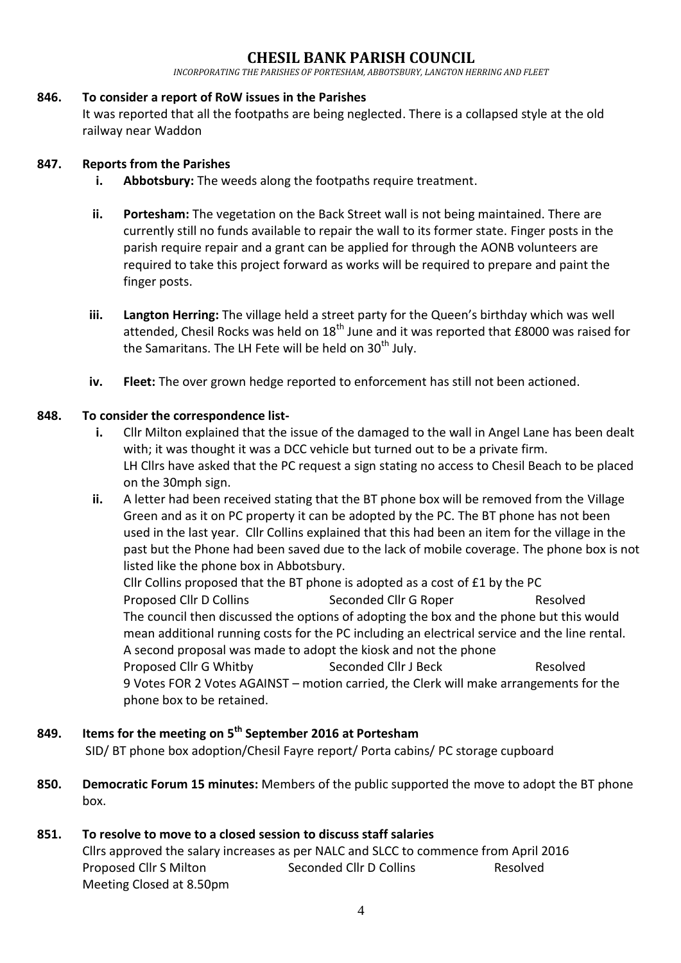*INCORPORATING THE PARISHES OF PORTESHAM, ABBOTSBURY, LANGTON HERRING AND FLEET*

#### **846. To consider a report of RoW issues in the Parishes**

It was reported that all the footpaths are being neglected. There is a collapsed style at the old railway near Waddon

#### **847. Reports from the Parishes**

- **i.** Abbotsbury: The weeds along the footpaths require treatment.
- **ii. Portesham:** The vegetation on the Back Street wall is not being maintained. There are currently still no funds available to repair the wall to its former state. Finger posts in the parish require repair and a grant can be applied for through the AONB volunteers are required to take this project forward as works will be required to prepare and paint the finger posts.
- **iii. Langton Herring:** The village held a street party for the Queen's birthday which was well attended, Chesil Rocks was held on  $18<sup>th</sup>$  June and it was reported that £8000 was raised for the Samaritans. The LH Fete will be held on  $30<sup>th</sup>$  July.
- **iv. Fleet:** The over grown hedge reported to enforcement has still not been actioned.

#### **848. To consider the correspondence list-**

- **i.** Cllr Milton explained that the issue of the damaged to the wall in Angel Lane has been dealt with; it was thought it was a DCC vehicle but turned out to be a private firm. LH Cllrs have asked that the PC request a sign stating no access to Chesil Beach to be placed on the 30mph sign.
- **ii.** A letter had been received stating that the BT phone box will be removed from the Village Green and as it on PC property it can be adopted by the PC. The BT phone has not been used in the last year. Cllr Collins explained that this had been an item for the village in the past but the Phone had been saved due to the lack of mobile coverage. The phone box is not listed like the phone box in Abbotsbury.

Cllr Collins proposed that the BT phone is adopted as a cost of  $E1$  by the PC Proposed Cllr D Collins Seconded Cllr G Roper Resolved The council then discussed the options of adopting the box and the phone but this would mean additional running costs for the PC including an electrical service and the line rental. A second proposal was made to adopt the kiosk and not the phone Proposed Cllr G Whitby Seconded Cllr J Beck Resolved 9 Votes FOR 2 Votes AGAINST – motion carried, the Clerk will make arrangements for the phone box to be retained.

## **849. Items for the meeting on 5 th September 2016 at Portesham** SID/ BT phone box adoption/Chesil Fayre report/ Porta cabins/ PC storage cupboard

**850. Democratic Forum 15 minutes:** Members of the public supported the move to adopt the BT phone box.

#### **851. To resolve to move to a closed session to discuss staff salaries**

Cllrs approved the salary increases as per NALC and SLCC to commence from April 2016 Proposed Cllr S Milton Seconded Cllr D Collins Resolved Meeting Closed at 8.50pm